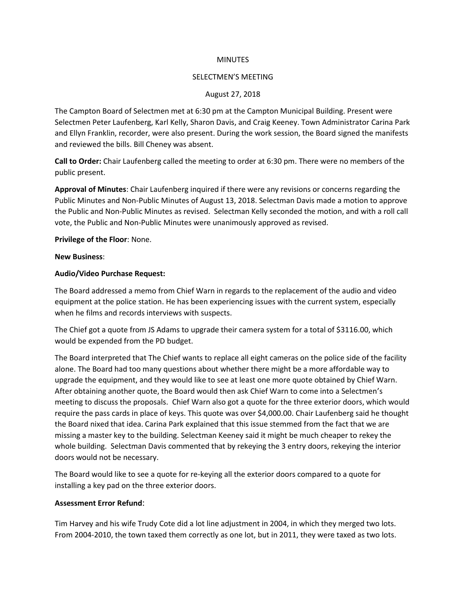#### **MINUTES**

## SELECTMEN'S MEETING

## August 27, 2018

The Campton Board of Selectmen met at 6:30 pm at the Campton Municipal Building. Present were Selectmen Peter Laufenberg, Karl Kelly, Sharon Davis, and Craig Keeney. Town Administrator Carina Park and Ellyn Franklin, recorder, were also present. During the work session, the Board signed the manifests and reviewed the bills. Bill Cheney was absent.

**Call to Order:** Chair Laufenberg called the meeting to order at 6:30 pm. There were no members of the public present.

**Approval of Minutes**: Chair Laufenberg inquired if there were any revisions or concerns regarding the Public Minutes and Non-Public Minutes of August 13, 2018. Selectman Davis made a motion to approve the Public and Non-Public Minutes as revised. Selectman Kelly seconded the motion, and with a roll call vote, the Public and Non-Public Minutes were unanimously approved as revised.

**Privilege of the Floor**: None.

#### **New Business**:

## **Audio/Video Purchase Request:**

The Board addressed a memo from Chief Warn in regards to the replacement of the audio and video equipment at the police station. He has been experiencing issues with the current system, especially when he films and records interviews with suspects.

The Chief got a quote from JS Adams to upgrade their camera system for a total of \$3116.00, which would be expended from the PD budget.

The Board interpreted that The Chief wants to replace all eight cameras on the police side of the facility alone. The Board had too many questions about whether there might be a more affordable way to upgrade the equipment, and they would like to see at least one more quote obtained by Chief Warn. After obtaining another quote, the Board would then ask Chief Warn to come into a Selectmen's meeting to discuss the proposals. Chief Warn also got a quote for the three exterior doors, which would require the pass cards in place of keys. This quote was over \$4,000.00. Chair Laufenberg said he thought the Board nixed that idea. Carina Park explained that this issue stemmed from the fact that we are missing a master key to the building. Selectman Keeney said it might be much cheaper to rekey the whole building. Selectman Davis commented that by rekeying the 3 entry doors, rekeying the interior doors would not be necessary.

The Board would like to see a quote for re-keying all the exterior doors compared to a quote for installing a key pad on the three exterior doors.

#### **Assessment Error Refund**:

Tim Harvey and his wife Trudy Cote did a lot line adjustment in 2004, in which they merged two lots. From 2004-2010, the town taxed them correctly as one lot, but in 2011, they were taxed as two lots.